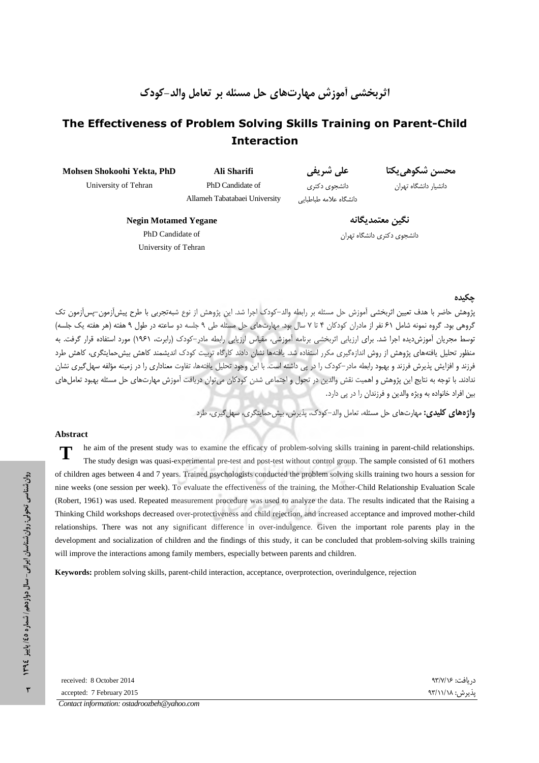اثربخشی أموزش مهارتهای حل مسئله بر تعامل والد-کودک

# The Effectiveness of Problem Solving Skills Training on Parent-Child **Interaction**

**Mohsen Shokoohi Yekta, PhD**  University of Tehran

**Ali Sharifi**  PhD Candidate of Allameh Tabatabaei University

على شريفي دانشجوی دکتری دانشگاه علامه طباطبایی

محسن شكوهي يكتا

دانشيار دانشگاه تهران

**Negin Motamed Yegane**  PhD Candidate of University of Tehran

نگبن معتمدىگانە دانشجوی دکتری دانشگاه تهران

مكنده

يژوهش حاضر با هدف تعيين اثربخشي آموزش حل مسئله بر رابطه والد–كودك اجرا شد. اين پژوهش از نوع شبهتجربي با طرح پيش[زمون–پس[زمون تک گروهی بود. گروه نمونه شامل ۶۱ نفر از مادران کودکان ۴ تا ۷ سال بود. مهارتهای حل مسئله طی ۹ جلسه دو ساعته در طول ۹ هفته (هر هفته یک جلسه) توسط مجريان أموزش ديده اجرا شد. براي ارزيابي اثربخشي برنامه أموزشي، مقياس ارزيابي رابطه مادر–كودك (رابرت، ۱۹۶۱) مورد استفاده قرار گرفت. به منظور تحليل يافتههاى پژوهش از روش اندازهگيرى مكرر استفاده شد. يافتهها نشان دادند كارگاه تربيت كودك انديشمند كاهش بيش حمايتگرى، كاهش طرد فرزند و افزایش پذیرش فرزند و بهبود رابطه مادر–کودک را در پی داشته است. با این وجود تحلیل یافتهها، تفاوت معناداری را در زمینه مؤلفه سهل گیری نشان ندادند. با توجه به نتايج اين پژوهش و اهميت نقش والدين در تحول و اجتماعي شدن كودكان مي¤وان دريافت آموزش مهارتهاي حل مسئله بهبود تعاملهاي بین افراد خانواده به ویژه والدین و فرزندان را در پی دارد.

**واژههای کلیدی:** مهارتهای حل مسئله، تعامل والد–کودک، پذیرش، بیشحمایتگری، سهل *گ*یری، طرد

#### **Abstract**

**T** he aim of the present study was to examine the efficacy of problem-solving skills training in parent-child relationships. The study design was quasi-experimental pre-test and post-test without control group. The sample consisted of 61 mothers of children ages between 4 and 7 years. Trained psychologists conducted the problem solving skills training two hours a session for nine weeks (one session per week). To evaluate the effectiveness of the training, the Mother-Child Relationship Evaluation Scale (Robert, 1961) was used. Repeated measurement procedure was used to analyze the data. The results indicated that the Raising a Thinking Child workshops decreased over-protectiveness and child rejection, and increased acceptance and improved mother-child relationships. There was not any significant difference in over-indulgence Given the important role parents play in the development and socialization of children and the findings of this study, it can be concluded that problem-solving skills training will improve the interactions among family members, especially between parents and children.

**Keywords:** problem solving skills, parent-child interaction, acceptance, overprotection, overindulgence, rejection

پذیرش: ۹۳/۱۱/۱۸ received: 8 October 2014  دريافت: accepted: 7 February 2015 *Contact information: ostadroozbeh@yahoo.com*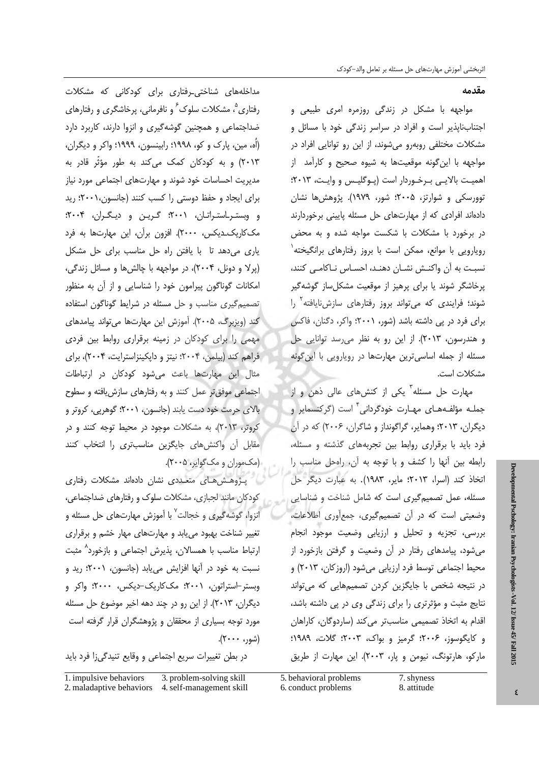مقدمه

مواجهه با مشکل در زندگی روزمره امری طبیعی و اجتنابiاپذیر است و افراد در سراسر زندگی خود با مسائل و مشکلات مختلفی روبهرو میشوند، از این رو توانایی افراد در مواجهه با این گونه موقعیتها به شیوه صحیح و کارآمد از اهمیت بالایی برخوردار است (پوگلیس و وایت، ۲۰۱۳؛ توورسكي و شوارتز، ۲۰۰۵؛ شور، ۱۹۷۹). پژوهش ها نشان دادهاند افرادی که از مهارتهای حل مسئله پایینی برخوردارند در برخورد با مشکلات با شکست مواجه شده و به محض رويارويي با موانع، ممكن است با بروز رفتارهاي برانگيخته<sup>'</sup> نسبت به أن واكنش نشـان دهنـد، احسـاس نـاكامـى كنند، پرخاشگر شوند یا برای پرهیز از موقعیت مشکل ساز گوشهگیر شوند؛ فرایندی که میتواند بروز رفتارهای سازشنایافته<sup>۲</sup> را برای فرد در پی داشته باشد (شور، ۲۰۰۱)؛ واکر، دگنان، فاکس و هندرسون، ۲۰۱۳). از این رو به نظر می رسد توانایی حل مسئله از جمله اساسیترین مهارتها در رویارویی با این گونه مشكلات است.

مهارت حل مسئله<sup>"</sup> یکی از کنشهای عالی ذهن و از جملـه مؤلفـههـاى مهـارت خودگردانى ٔ است (گركنسماير و دیگران، ۲۰۱۳؛ وهمایر، گراگونداز و شاگران، ۲۰۰۶) که در آن فرد باید با برقراری روابط بین تجربههای گذشته و مسئله، رابطه بین آنها را کشف و با توجه به آن، راهحل مناسب را اتخاذ كند (اسرا، ٢٠١٣؛ ماير، ١٩٨٣). به عبارت ديگر حل مسئله، عمل تصمیم گیری است که شامل شناخت و شناسایی وضعیتی است که در آن تصمیم گیری، جمع آوری اطلاعات، بررسی، تجزیه و تحلیل و ارزیابی وضعیت موجود انجام میشود، پیامدهای رفتار در آن وضعیت و گرفتن بازخورد از محيط اجتماعي توسط فرد ارزيابي ميشود (اروزكان، ٢٠١٣) و در نتیجه شخص با جایگزین کردن تصمیمهایی که میتواند نتایج مثبت و مؤثرتری را برای زندگی وی در پی داشته باشد، اقدام به اتخاذ تصمیمی مناسبتر می کند (ساردوگان، کاراهان و كايگوسوز، ٢٠٠۶؛ گرميز و بواك، ٢٠٠٣؛ گلات، ١٩٨٩؛ ماركو، هارتونگ، نيومن و پار، ٢٠٠٣). اين مهارت از طريق

مداخلههای شناختی\_رفتاری برای کودکانی که مشکلات رفتاري<sup>°</sup>، مشكلات سلوك<sup>′</sup> و نافرماني، پرخاشگري و رفتارهاي ضداجتماعی و همچنین گوشهگیری و انزوا دارند، کاربرد دارد (اُه، مین، پارک و کو، ۱۹۹۸؛ رابینسون، ۱۹۹۹؛ واکر و دیگران، ۲۰۱۳) و به کودکان کم*ک می کند* به طور مؤثّر قاد<sub>ر</sub> به مدیریت احساسات خود شوند و مهارتهای اجتماعی مورد نیاز برای ایجاد و حفظ دوستی را کسب کنند (جانسون،۲۰۰۱)؛ رید و وبستر استراتان، ۲۰۰۱؛ گرین و دیگران، ۲۰۰۴؛ مککاریک۔دیکس، ۲۰۰۰). افزون برآن، این مهارتها به فرد یاری میدهد تا با یافتن راه حل مناسب برای حل مشکل (پرلا و دونل، ۲۰۰۴)، در مواجهه با چالش ها و مسائل زندگی، امکانات گوناگون پیرامون خود را شناسایی و از آن به منظور تصمیم گیری مناسب و حل مسئله در شرایط گوناگون استفاده كند (ويزبرگ، ٢٠٠۵). آموزش اين مهارتها مى تواند پيامدهاى مهمی را برای کودکان در زمینه برقراری روابط بین فردی فراهم كند (بيلمن، ٢٠٠۴؛ نيتز و داپكينزاسترايت، ٢٠٠۴)، براي مثال این مهارتها باعث میشود کودکان در ارتباطات اجتماعی موفقتر عمل کنند و به رفتارهای سازش یافته و سطوح بالای حرمت خود دست یابند (جانسون، ۲۰۰۱؛ گوهرپی، کروتر و کروتر، ۲۰۱۳)، به مشکلات موجود در محیط توجه کنند و در مقابل آن واكنش هاى جايگزين مناسبترى را انتخاب كنند (مکموران و مک گوایر، ۲۰۰۵).

پـژوهـشهـای متعـددی نشان دادهاند مشکلات رفتاری کودکان مانند لجبازی، مشکلات سلوک و رفتارهای ضداجتماعی، انزوا، گوشهگیری و خجالت<sup>۷</sup> با آموزش مهارتهای حل مسئله و تغییر شناخت بهبود می یابد و مهارتهای مهار خشم و برقراری ارتباط مناسب با همسالان، پذیرش اجتماعی و بازخورد<sup>^</sup> مثبت نسبت به خود در آنها افزایش می یابد (جانسون، ۲۰۰۱؛ رید و وبستر-استراتون، ۲۰۰۱؛ مککاریک-دیکس، ۲۰۰۰؛ واکر و دیگران، ۲۰۱۳). از این رو در چند دهه اخیر موضوع حل مسئله مورد توجه بسیاری از محققان و پژوهشگران قرار گرفته است (شور، ۲۰۰۰).

در بطن تغییرات سریع اجتماعی و وقایع تنیدگیزا فرد باید

1. impulsive behaviors 3. problem-solving skill 5. behavioral problems 7. shyness 2. maladaptive behaviors 4. self-management skill 6. conduct problems 8. attitude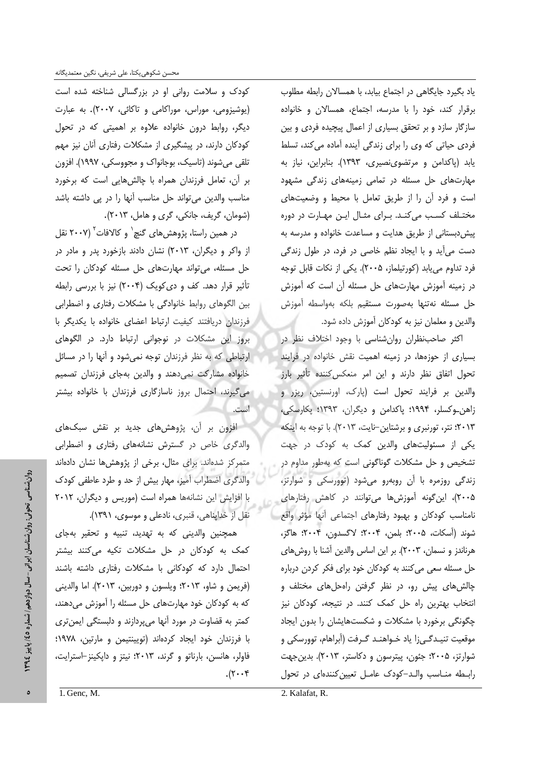یاد بگیرد جایگاهی در اجتماع بیابد، با همسالان رابطه مطلوب برقرار کند، خود را با مدرسه، اجتماع، همسالان و خانواده سازگار سازد و بر تحقق بسیاری از اعمال پیچیده فردی و بین فردی حیاتی که وی را برای زندگی آینده آماده میکند، تسلط یابد (پاکدامن و مرتضوی نصیری، ۱۳۹۳). بنابراین، نیاز به مهارتهای حل مسئله در تمامی زمینههای زندگی مشهود است و فرد آن را از طريق تعامل با محيط و وضعيتهاى مختلف کسب میکند. برای مثال این مهارت در دوره پیش دبستانی از طریق هدایت و مساعدت خانواده و مدرسه به دست می آید و با ایجاد نظم خاصی در فرد، در طول زندگی فرد تداوم مي يابد (كورتيلماز، ٢٠٠۵). يكي از نكات قابل توجه در زمینه آموزش مهارتهای حل مسئله آن است که آموزش حل مسئله نەتنها بەصورت مستقيم بلكه بەواسطه آموزش والدین و معلمان نیز به کودکان آموزش داده شود.

اکثر صاحب نظران روان شناسی با وجود اختلاف نظر در بسیاری از حوزهها، در زمینه اهمیت نقش خانواده در فرایند تحول اتفاق نظر دارند و این امر منعکس کننده تأثیر بارز والدین بر فرایند تحول است (پارک، اورنستین، ریزر و زاهن وکسلر، ۱۹۹۴؛ پاکدامن و دیگران، ۱۳۹۳؛ پکارسکی، ٢٠١٣؛ نتر، تورنبري و برشتاين-نايت، ٢٠١٣). با توجه به اينكه یکی از مسئولیتهای والدین کمک به کودک در جهت تشخیص و حل مشکلات گوناگونی است که بهطور مداوم در زندگی روزمره با آن روبهرو میشود (توورسکی و شوارتز، ۲۰۰۵)، این گونه آموزشها میتوانند در کاهش رفتارهای نامناسب كودكان وبهبود رفتارهاى اجتماعى أنها مؤثر واقع شوند (آسكات، ٢٠٠۵؛ بلمن، ٢٠٠۴؛ لاگسدون، ٢٠٠۴؛ هاگز، هرناندز و نسمان، ۲۰۰۳). بر این اساس والدین آشنا با روش های حل مسئله سعی می کنند به کودکان خود برای فکر کردن درباره چالش های پیش رو، در نظر گرفتن راهحل های مختلف و انتخاب بهترین راه حل کمک کنند. در نتیجه، کودکان نیز چگونگی برخورد با مشکلات و شکستهایشان را بدون ایجاد موقعیت تنیـدگـی;۱ یاد خـواهنـد گـرفت (آبراهام، توورسکی و شوارتز، ۲۰۰۵؛ جئون، پیترسون و دکاستر، ۲۰۱۳). بدین جهت رابطه مناسب والـد-کودک عامـل تعیین کنندهای در تحول

کودک و سلامت روانی او در بزرگسالی شناخته شده است (یوشیزومی، موراس، موراکامی و تاکائی، ۲۰۰۷). به عبارت دیگر، روابط درون خانواده علاوه بر اهمیتی که در تحول کودکان دارند، در پیشگیری از مشکلات رفتاری آنان نیز مهم تلقی میشوند (تاسیک، بوجانواک و مجووسکی، ۱۹۹۷). افزون بر آن، تعامل فرزندان همراه با چالشهایی است که برخورد مناسب والدین می تواند حل مناسب آنها را در پی داشته باشد (شومان، گريف، جانکي، گري و هامل، ٢٠١٣).

در همین راستا، پژوهش های گنچ` و کالافات` (۲۰۰۷ نقل از واکر و دیگران، ۲۰۱۳) نشان دادند بازخورد پدر و مادر در حل مسئله، می تواند مهارتهای حل مسئله کودکان را تحت تأثیر قرار دهد. کف و دی کویک (۲۰۰۴) نیز با بررسی رابطه بین الگوهای روابط خانوادگی با مشکلات رفتاری و اضطرابی فرزندان دریافتند کیفیت ارتباط اعضای خانواده با یکدیگر با بروز این مشکلات در نوجوانی ارتباط دارد. در الگوهای ارتباطی که به نظر فرزندان توجه نمیشود و آنها را در مسائل خانواده مشاركت نمى دهند و والدين بهجاى فرزندان تصميم می گیرند، احتمال بروز ناسازگاری فرزندان با خانواده بیشتر است.

افزون بر آن، پژوهشهای جدید بر نقش سبکهای والدگری خاص در گسترش نشانههای رفتاری و اضطرابی متمرکز شدهاند. برای مثال، برخی از پژوهشها نشان دادهاند والدگری اضطراب آمیز، مهار بیش از حد و طرد عاطفی کودک با افزایش این نشانهها همراه است (موریس و دیگران، ۲۰۱۲ نقل از خدایناهی، قنبری، نادعلی و موسوی، ۱۳۹۱).

همچنین والدینی که به تهدید، تنبیه و تحقیر بهجای کمک به کودکان در حل مشکلات تکیه میکنند بیشتر احتمال دارد که کودکانی با مشکلات رفتاری داشته باشند (فريمن و شاو، ٢٠١٣؛ ويلسون و دوربين، ٢٠١٣). اما والديني که به کودکان خود مهارتهای حل مسئله را آموزش می دهند، کمتر به قضاوت در مورد آنها میپردازند و دلبستگی ایمن تری با فرزندان خود ایجاد کردهاند (تویینتیمن و مارتین، ۱۹۷۸؛ فاولر، هانسن، بارناتو و گرند، ٢٠١٣؛ نيتز و داپكينز-استرايت،  $\cdot$   $(\tau \cdot \tau)$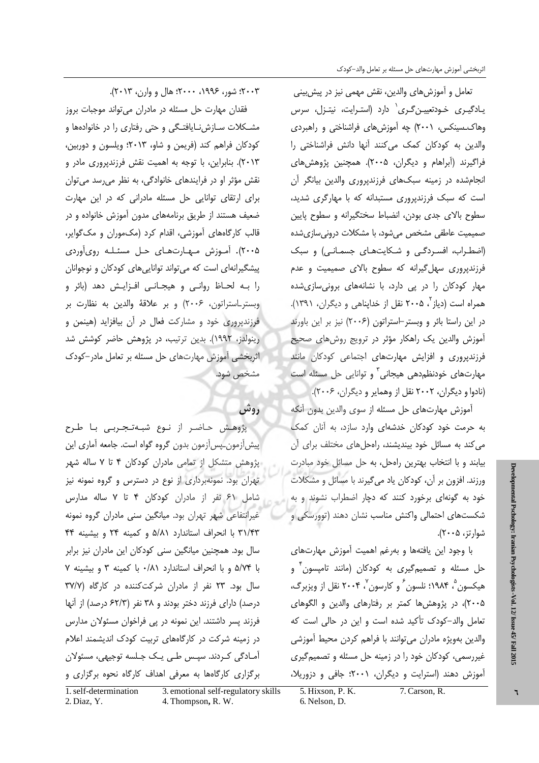تعامل و أموزشهاى والدين، نقش مهمى نيز در پيشبينى یـادگیـری خـودتعییـنِ گـری` دارد (استـرایت، نیتـزل، سرس وهاک سینکس، ۲۰۰۱) چه آموزش های فراشناختی و راهبردی والدین به کودکان کمک میکنند آنها دانش فراشناختی را فراگیرند (آبراهام و دیگران، ۲۰۰۵). همچنین پژوهشهای انجام شده در زمینه سبکهای فرزندپروری والدین بیانگر آن است که سبک فرزندیروری مستبدانه که با مهارگری شدید، سطوح بالای جدی بودن، انضباط سختگیرانه و سطوح پایین صمیمیت عاطفی مشخص می شود، با مشکلات درونی سازی شده (اضطراب، افسردگی و شکایتهای جسمانی) و سبک فرزندپروری سهل گیرانه که سطوح بالای صمیمیت و عدم مهار کودکان را در یی دارد، با نشانههای برونی سازی شده همراه است (دیاز ، ۲۰۰۵ نقل از خدایناهی و دیگران، ۱۳۹۱). در این راستا بائر و وبستر-استراتون (۲۰۰۶) نیز بر این باورند آموزش والدین یک راهکار مؤثر در ترویج روشهای صحیح فرزندپروری و افزایش مهارتهای اجتماعی کودکان مانند مهارتهای خودنظم دهی هیجانی ؓ و توانایی حل مسئله است (نادوا و دیگران، ۲۰۰۲ نقل از وهمایر و دیگران، ۲۰۰۶).

آموزش مهارتهای حل مسئله از سوی والدین بدون آنکه به حرمت خود کودکان خدشهای وارد سازد، به آنان کمک می کند به مسائل خود بیندیشند، راهحل های مختلف برای آن بیابند و با انتخاب بهترین راهحل، به حل مسائل خود مبادرت ورزند. افزون بر آن، کودکان یاد می¢یرند با مسائل و مشکلات خود به گونهای برخورد کنند که دچار اضطراب نشوند و به شکستهای احتمالی واکنش مناسب نشان دهند (توورسکی و شوارتز، ۲۰۰۵).

با وجود این یافتهها و بهرغم اهمیت آموزش مهارتهای حل مسئله و تصمیمگیری به کودکان (مانند تامپسون<sup>۲</sup> و هيکسون ۾ ۱۹۸۴؛ نلسون ً و کارسون ُ ۲۰۰۴ نقل از ويزبرگ، ۲۰۰۵)، در پژوهش ها کمتر بر رفتارهای والدین و الگوهای تعامل والد-کودک تأکید شده است و این در حالی است که والدين بهويژه مادران مي توانند با فراهم كردن محيط آموزشي غیررسمی، کودکان خود را در زمینه حل مسئله و تصمیم گیری آموزش دهند (استرایت و دیگران، ۲۰۰۱؛ جافی و دزوریلا،

۲۰۰۳؛ شور، ۱۹۹۶، ۲۰۰۰؛ هال و وارن، ۲۰۱۳).

فقدان مهارت حل مسئله در مادران می تواند موجبات بروز مشکلات سـازشiایافتـگی و حتی رفتاری را در خانوادهها و کودکان فراهم کند (فریمن و شاو، ۲۰۱۳؛ ویلسون و دوربین، ۲۰۱۳). بنابراین، با توجه به اهمیت نقش فرزندپروری مادر و نقش مؤثر او در فرایندهای خانوادگی، به نظر می رسد می توان برای ارتقای توانایی حل مسئله مادرانی که در این مهارت ضعیف هستند از طریق برنامههای مدون آموزش خانواده و در قالب کارگاههای آموزشی، اقدام کرد (مک موران و مک گوایر، ۲۰۰۵). آموزش مهارتهای حل مسئله رویآوردی پیشگیرانهای است که می تواند توانایی های کودکان و نوجوانان را بـه لحـاظ روانـی و هیجـانـی افـزایـش دهد (بائر و وبستر\_استراتون، ۲۰۰۶) و بر علاقهٔ والدین به نظارت بر فرزندپروری خود و مشارکت فعال در آن بیافزاید (هینمن و رینولدز، ۱۹۹۲). بدین ترتیب، در پژوهش حاضر کوشش شد اثربخشی آموزش مهارتهای حل مسئله بر تعامل مادر-کودک مشخص شود.

## روش

پژوهش حاضر از نوع شبهتجربی با طرح پیش[زمون\_پس[زمون بدون گروه گواه است. جامعه آماری این پژوهش متشکل از تمامی مادران کودکان ۴ تا ۷ ساله شهر تهران بود. نمونهبرداری از نوع در دسترس و گروه نمونه نیز شامل ۶۱ نفر از مادران کودکان ۴ تا ۷ ساله مدارس غیرانتفاعی شهر تهران بود. میانگین سنی مادران گروه نمونه ٣١/۴٣ با انحراف استاندارد ٥/٨١ و كمينه ٢۴ و بيشينه ۴۴ سال بود. همچنین میانگین سنی کودکان این مادران نیز برابر با ۵/۷۴ و با انحراف استاندارد ۰/۸۱ با کمینه ۳ و بیشینه ۷ سال بود. ۲۳ نفر از مادران شرکت کننده در کارگاه (۳۷/۷ درصد) دارای فرزند دختر بودند و ۳۸ نفر (۶۲/۳ درصد) از آنها فرزند پسر داشتند. این نمونه در یی فراخوان مسئولان مدارس در زمینه شرکت در کارگاههای تربیت کودک اندیشمند اعلام آمـادگی کـردند. سپـس طـی یـک جـلسه توجیهی، مسئولان برگزاری کارگاهها به معرفی اهداف کارگاه نحوه برگزاری و

5. Hixson, P. K. 7. Carson, R.

6. Nelson, D.

<sup>1.</sup> self-determination 3. emotional self-regulatory skills 2. Diaz, Y. 4. Thompson, R. W.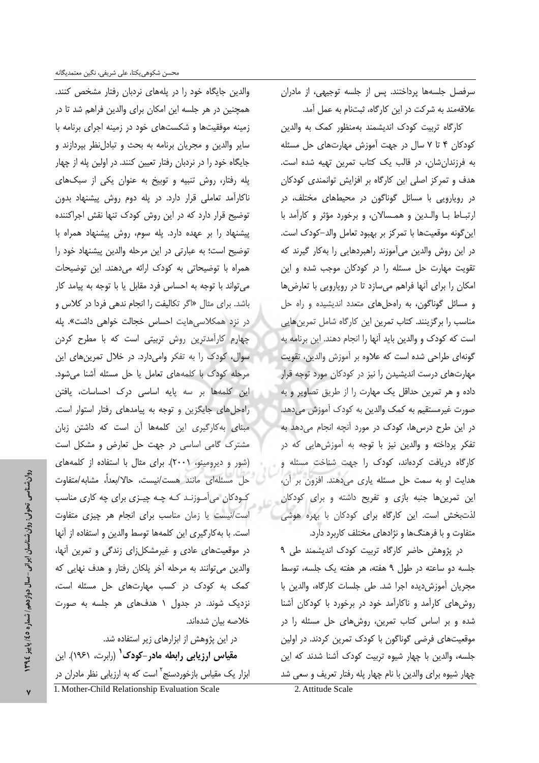والدین جایگاه خود را در پلههای نردبان رفتار مشخص کنند. همچنین در هر جلسه این امکان برای والدین فراهم شد تا در زمینه موفقیتها و شکستهای خود در زمینه اجرای برنامه با سایر والدین و مجریان برنامه به بحث و تبادلنظر بپردازند و جایگاه خود را در نردبان رفتار تعیین کنند. در اولین پله از چهار پله رفتار، روش تنبيه و توبيخ به عنوان يكي از سبكهاى ناکارآمد تعاملی قرار دارد. در پله دوم روش پیشنهاد بدون توضیح قرار دارد که در این روش کودک تنها نقش اجراکننده پیشنهاد را بر عهده دارد. پله سوم، روش پیشنهاد همراه با توضیح است؛ به عبارتی در این مرحله والدین پیشنهاد خود را همراه با توضیحاتی به کودک ارائه می دهند. این توضیحات می تواند با توجه به احساس فرد مقابل یا با توجه به پیامد کار باشد. برای مثال «اگر تکالیفت را انجام ندهی فردا در کلاس و در نزد همكلاسى هايت احساس خجالت خواهى داشت». پله چهارم کارآمدترین روش تربیتی است که با مطرح کردن سوال، کودک را به تفکر وامیدارد. در خلال تمرین های این مرحله کودک با کلمههای تعامل یا حل مسئله آشنا میشود. این کلمهها بر سه پایه اساسی درک احساسات، یافتن راهحل های جایگزین و توجه به پیامدهای رفتار استوار است. مبنا*ی* به *ک*ارگیری این کلمهها آن است که داشتن زبان مشترک گامی اساسی در جهت حل تعارض و مشکل است (شور و دیرومینو، ۲۰۰۱). برای مثال با استفاده از کلمههای حل مسئلهاى مانند هست/نيست، حالا/بعداً، مشابه/متفاوت کـودکان میآمـوزنـد کـه چـه چيـزی برای چه کاری مناسب است/نیست یا زمان مناسب برای انجام هر چیزی متفاوت است. با به كارگيري اين كلمهها توسط والدين و استفاده از آنها در موقعیتهای عادی و غیرمشکل;ای زندگی و تمرین آنها، والدین می توانند به مرحله آخر پلکان رفتار و هدف نهایی که کمک به کودک در کسب مهارتهای حل مسئله است، نزدیک شوند. در جدول ۱ هدفهای هر جلسه به صورت خلاصه بيان شدهاند.

در این پژوهش از ابزارهای زیر استفاده شد. مقیاس ارزیابی رابطه مادر-کودک<sup>۱</sup> (رابرت، ۱۹۶۱). این ابزار یک مقیاس بازخوردسنج<sup>۲</sup> است که به ارزیابی نظر مادران در 1. Mother-Child Relationship Evaluation Scale

سرفصل جلسهها پرداختند. پس از جلسه توجیهی، از مادران علاقهمند به شركت در اين كارگاه، ثبتنام به عمل آمد.

كارگاه تربيت كودك انديشمند بهمنظور كمك به والدين کودکان ۴ تا ۷ سال در جهت آموزش مهارتهای حل مسئله به فرزندانشان، در قالب یک کتاب تمرین تهیه شده است. هدف و تمرکز اصلی این کارگاه بر افزایش توانمندی کودکان در رویارویی با مسائل گوناگون در محیطهای مختلف، در ارتباط با والدين و همسالان، و برخورد مؤثر و كارآمد با این گونه موقعیتها با تمرکز بر بهبود تعامل والد-کودک است. در این روش والدین میآموزند راهبردهایی را به کار گیرند که تقویت مهارت حل مسئله را در کودکان موجب شده و این امکان را برای آنها فراهم میسازد تا در رویارویی با تعارضها و مسائل گوناگون، به راهحلهای متعدد اندیشیده و راه حل مناسب را برگزینند. کتاب تمرین این کارگاه شامل تمرینهایی است که کودک و والدین باید آنها را انجام دهند. این برنامه به گونهای طراحی شده است که علاوه بر آموزش والدین، تقویت مهارتهای درست اندیشیدن را نیز در کودکان مورد توجه قرار داده و هر تمرین حداقل یک مهارت را از طریق تصاویر و به صورت غیرمستقیم به کمک والدین به کودک آموزش میدهد. در این طرح درسها، کودک در مورد آنچه انجام می دهد به تفکر پرداخته و والدین نیز با توجه به آموزشهایی که در کارگاه دریافت کردهاند، کودک را جهت شناخت مسئله و هدایت او به سمت حل مسئله یاری می دهند. افزون بر آن، این تمرینها جنبه بازی و تفریح داشته و برای کودکان لذتبخش است. این کارگاه برای کودکان با بهره هوشی متفاوت و با فرهنگها و نژادهای مختلف کاربرد دارد.

در پژوهش حاضر کارگاه تربیت کودک اندیشمند طی ۹ جلسه دو ساعته در طول ۹ هفته، هر هفته یک جلسه، توسط مجریان آموزش دیده اجرا شد. طی جلسات کارگاه، والدین با روش های کارآمد و ناکارآمد خود در برخورد با کودکان آشنا شده و بر اساس کتاب تمرین، روشهای حل مسئله را در موقعیتهای فرضی گوناگون با کودک تمرین کردند. در اولین جلسه، والدین با چهار شیوه تربیت کودک آشنا شدند که این چهار شیوه برای والدین با نام چهار پله رفتار تعریف و سعی شد

2. Attitude Scale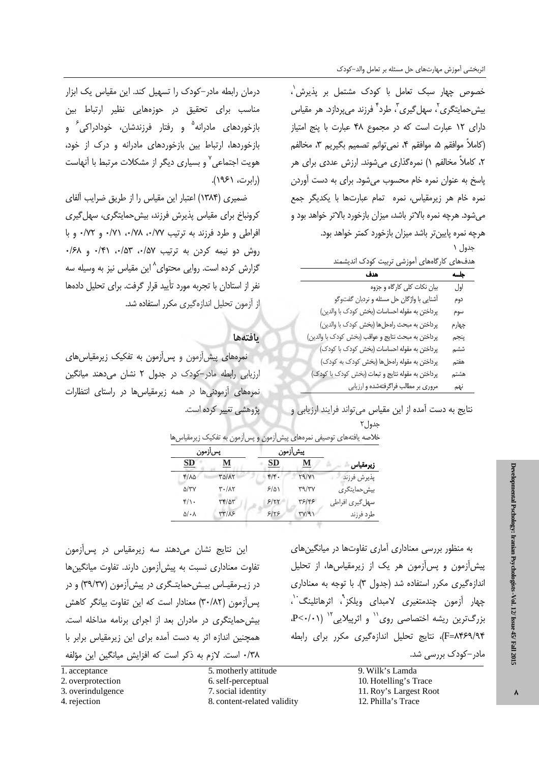خصوص چهار سبک تعامل با کودک مشتمل بر پذیرش ٰ، بیش حمایتگری<sup>۲</sup>، سھل گیری<sup>۳</sup>، طرد<sup>۴</sup> فرزند مے پردازد. هر مقیاس دارای ١٢ عبارت است كه در مجموع ۴٨ عبارت با ينج امتياز (كاملاً موافقم ۵، موافقم ۴، نمي توانم تصميم بگيريم ۳، مخالفم ۲، کاملاً مخالفم ۱) نمرهگذاری میشوند. ارزش عددی برای هر یاسخ به عنوان نمره خام محسوب می شود. برای به دست آوردن نمره خام هر زیرمقیاس، نمره تمام عبارتها با یکدیگر جمع می شود. هرچه نمره بالاتر باشد، میزان بازخورد بالاتر خواهد بود و هرچه نمره پایین تر باشد میزان بازخورد کمتر خواهد بود.

جدول ۱

| دف&ای کارگاههای آموزشی تربیت کودک اندیشمند |  |
|--------------------------------------------|--|
|--------------------------------------------|--|

| هدف                                                | جلسه           |
|----------------------------------------------------|----------------|
| بیان نکات کلی کارگاه و جزوه                        | اول            |
| أشنايي با واژگان حل مسئله و نردبان گفتوگو          | دوم            |
| پرداختن به مقوله احساسات (بخش کودک با والدین)      | سوم            |
| پرداختن به مبحث راهحلها (بخش كودك با والدين)       | چهارم          |
| پرداختن به مبحث نتايج و عواقب (بخش كودك با والدين) | پنجم           |
| پرداختن به مقوله احساسات (بخش کودک با کودک)        | ششم            |
| پرداختن به مقوله راهحلها (بخش كودك به كودك)        | هفتم           |
| پرداختن به مقوله نتایج و تبعات (بخش کودک با کودک)  | هشتم           |
| میمیون مطالب فراگرفتهشده مرابندار                  | $\overline{a}$ |

درمان رابطه مادر-کودک را تسهیل کند. این مقیاس یک ابزار مناسب برای تحقیق در حوزههایی نظیر ارتباط بین بازخوردهای مادرانه<sup>۵</sup> و رفتار فرزندشان، خودادراکی<sup>۶</sup> و بازخوردها، ارتباط بین بازخوردهای مادرانه و درک از خود، هویت اجتماعی<sup>۷</sup> و بسیاری دیگر از مشکلات مرتبط با آنهاست (رابرت، ۱۹۶۱).

ضمیری (۱۳۸۴) اعتبار این مقیاس را از طریق ضرایب آلفای کرونباخ برای مقیاس پذیرش فرزند، بیش حمایتگری، سهل گیری افراطی و طرد فرزند به ترتیب ۰/۷۷، ۰/۷۸، ۰/۷۱ و ۰/۷۲ و با روش دو نیمه کردن به ترتیب ۰/۵۷، ۰/۵۳، ۰/۴۱ و ۰/۶۸ گزارش کرده است. روایی محتوای^ این مقیاس نیز به وسیله سه نفر از استادان با تجربه مورد تأييد قرار گرفت. براي تحليل دادهها از آزمون تحلیل اندازهگیری مکرر استفاده شد.

### بافتهها

نمرههای پیش[زمون و پس[زمون به تفکیک زیرمقیاس های ارزیابی رابطه مادر-کودک در جدول ۲ نشان میدهند میانگین نمرههای آزمودنیها در همه زیرمقیاسها در راستای انتظارات پژوهشی تغییر کرده است.

نتایج به دست آمده از این مقیاس می تواند فرایند ارزیابی و

جدول۲

|                 |              | پیشآزمون           |              | پسآزمون             |  |
|-----------------|--------------|--------------------|--------------|---------------------|--|
| زيرمقياس        | М            | SD                 | м            | <u>SD</u>           |  |
| پذيرش فرزند     | Y9/Y         | $f/\mathfrak{f}$ . | TO/AY        | $f/\lambda\Delta$   |  |
| بیش حمایتگری    | <b>٣٩/٣٧</b> | $5/\Delta$         | ۳۰/۸۲        | $\Delta/\tau\gamma$ |  |
| سهل گیری افراطی | ۳۶/۴۶        | 5/77               | ٣٣/٥٣        | $f/\cdot$           |  |
| طرد فرزند       | TY/9)        | 8188               | <b>٣٣/٨۶</b> | ۵/۰۸                |  |

این نتایج نشان میدهند سه زیرمقیاس در پسآزمون تفاوت معناداری نسبت به پیش آزمون دارند. تفاوت میانگینها در زیـرمقیـاس بیـشحمایتـگری در پیش[زمون (۳۹/۳۷) و در یس آزمون (۳۰/۸۲) معنادار است که این تفاوت بیانگر کاهش بیش حمایتگری در مادران بعد از اجرای برنامه مداخله است. همچنین اندازه اثر به دست آمده برای این زیرمقیاس برابر با ۰/۳۸ است. لازم به ذکر است که افزایش میانگین این مؤلفه

1. acceptance

- 2. overprotection
- 3. overindulgence
- 4. rejection

5. motherly attitude 6. self-perceptual 7. social identity

8. content-related validity

به منظور بررسی معناداری آماری تفاوتها در میانگینهای پیش[زمون و پس[زمون هر یک از زیرمقیاس ها، از تحلیل اندازهگیری مکرر استفاده شد (جدول ۳). با توجه به معناداری چهار آزمون چندمتغیری لامبدای ویلکز<sup>۹</sup>، اثرهاتلینگ<sup>۰٬</sup>،  $P<\cdot/\cdot$ ) بزرگترین ریشه اختصاصی روی $'$  و اثریبلایی ا F=۸۴۶۹/۹۴)، نتایج تحلیل اندازهگیری مکرر برای رابطه مادر –کودک بررسی شد.

> 9. Wilk's Lamda 10. Hotelling's Trace 11. Roy's Largest Root 12. Philla's Trace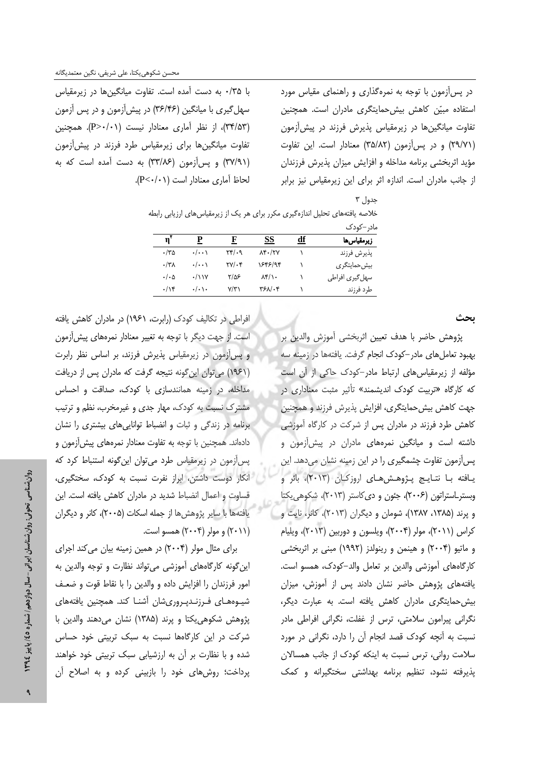در پس آزمون با توجه به نمرهگذاری و راهنمای مقیاس مورد استفاده مبیّن کاهش بیش حمایتگری مادران است. همچنین تفاوت میانگینها در زیرمقیاس پذیرش فرزند در پیش آزمون (٢٩/٧١) و در پس آزمون (٣٥/٨٢) معنادار است. این تفاوت مؤید اثربخشی برنامه مداخله و افزایش میزان پذیرش فرزندان از جانب مادران است. اندازه اثر برای این زیرمقیاس نیز برابر

جدول ۳

با ۰/۳۵ به دست آمده است. تفاوت میانگینها در زیرمقیاس سهل گیری با میانگین (۳۶/۴۶) در پیش آزمون و در پس آزمون (٣٣/۵٣)، از نظر آماری معنادار نیست (P>٠/٠١). همچنین تفاوت میانگینها برای زیرمقیاس طرد فرزند در پیش آزمون (٣٧/٩١) و پس آزمون (٣٣/٨۶) به دست آمده است که به لحاظ آماري معنادار است (P<٠/٠١).

|                           |                         |                                            |                       |           | مادر –کودک                |
|---------------------------|-------------------------|--------------------------------------------|-----------------------|-----------|---------------------------|
| $\mathbf{n}^{\mathbf{v}}$ | Р                       | F                                          | SS                    | <u>df</u> | زيرمقياسها                |
| ۱۳۵.                      | $\cdot/\cdot\cdot$      | ۲۴/۰۹                                      | $\lambda$ ۴۰/۲۷       |           | يذيرش فرزند               |
| $\cdot$ /٣٨               | $\cdot/\cdot\cdot$      | $\mathsf{Y} \mathsf{Y} / \cdot \mathsf{Y}$ | 1848/94               |           | بیش حمایتگر ی             |
| $\cdot/\cdot$ $\circ$     | $\cdot$ / ۱ ۱ ۷         | ۳/۵۶                                       | $\lambda f/\lambda$ . |           | ِ سھل <i>گ</i> یری افراطی |
| $\cdot/\gamma$            | $\cdot/\cdot$ ) $\cdot$ | $V/\tilde{r}$                              | ۳۶۸/۰۴                |           | طرد فرزند                 |

.<br>خلاصه یافتههای تحلیل اندازهگیری مکرر برای هر یک از زیرمقیاس های ارزیابی رابطه

ىحث

يژوهش حاضر با هدف تعيين اثربخشي آموزش والدين بر بهبود تعامل های مادر-کودک انجام گرفت. یافتهها در زمینه سه مؤلفه از زیرمقیاس های ارتباط مادر-کودک حاکی از آن است که کارگاه «تربیت کودک اندیشمند» تأثیر مثبت معناداری در جهت کاهش بیش حمایتگری، افزایش پذیرش فرزند و همچنین کاهش طرد فرزند در مادران پس از شرکت در کارگاه آموزشی داشته است و میانگین نمرههای مادران در پیشآزمون و پس آزمون تفاوت چشمگیری را در این زمینه نشان میدهد. این یافته با نتایج پژوهشهای اروزکان (۲۰۱۳)، بائر و وبستر استراتون (٢٠٠۶)، جئون و دى كاستر (٢٠١٣)، شكوهي يكتا و پرند (۱۳۸۵، ۱۳۸۷)، شومان و دیگران (۲۰۱۳)، کانر، نایت و کراس (۲۰۱۱)، مولر (۲۰۰۴)، ویلسون و دوربین (۲۰۱۳)، ویلیام و ماتيو (۲۰۰۴) و هينمن و رينولدز (۱۹۹۲) مبنى بر اثربخشى كارگاههاى آموزشى والدين بر تعامل والد-كودك، همسو است. یافتههای پژوهش حاضر نشان دادند پس از آموزش، میزان بیش حمایتگری مادران کاهش یافته است. به عبارت دیگر، نگرانی پیرامون سلامتی، ترس از غفلت، نگرانی افراطی مادر نسبت به آنچه کودک قصد انجام آن را دارد، نگرانی در مورد سلامت روانی، ترس نسبت به اینکه کودک از جانب همسالان یذیرفته نشود، تنظیم برنامه بهداشتی سختگیرانه و کمک

افراطی در تکالیف کودک (رابرت، ۱۹۶۱) در مادران کاهش یافته است. از جهت دیگر با توجه به تغییر معنادار نمرههای پیش آزمون و پس آزمون در زیرمقیاس پذیرش فرزند، بر اساس نظر رابرت (١٩۶١) می توان این گونه نتیجه گرفت که مادران پس از دریافت مداخله، در زمینه همانندسازی با کودک، صداقت و احساس مشترک نسبت به کودک، مهار جدی و غیرمخرب، نظم و ترتیب برنامه در زندگی و ثبات و انضباط توانایی های بیشتری را نشان دادهاند. همچنین با توجه به تفاوت معنادار نمرههای پیش[زمون و پس آزمون در زیرمقیاس طرد می توان این گونه استنباط کرد که انكار دوست داشتن، ابراز نفرت نسبت به كودك، سختگيرى، قساوت و اعمال انضباط شدید در مادران کاهش یافته است. این يافتهها با ساير پژوهش ها از جمله اسكات (٢٠٠۵)، كانر و ديگران (۲۰۱۱) و مولر (۲۰۰۴) همسو است.

برای مثال مولر (۲۰۰۴) در همین زمینه بیان می کند اجرای این گونه کارگاههای آموزشی می تواند نظارت و توجه والدین به امور فرزندان را افزایش داده و والدین را با نقاط قوت و ضعـف شیبوههـای فـرزنـدیـروریِشان آشنـا کند. همچنین یافتههای يژوهش شكوهي يكتا و يرند (١٣٨۵) نشان مي دهند والدين با شرکت در این کارگاهها نسبت به سبک تربیتی خود حساس شده و با نظارت بر آن به ارزشیابی سبک تربیتی خود خواهند یرداخت؛ روش های خود را بازبینی کرده و به اصلاح آن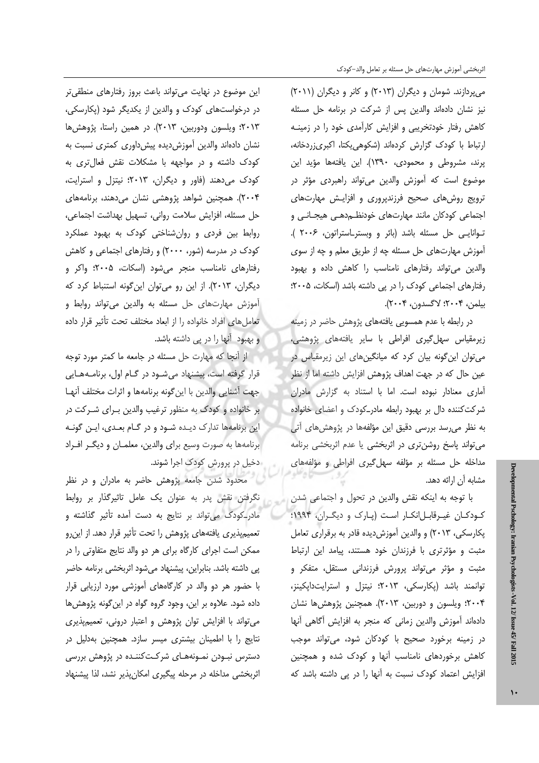میپردازند. شومان و دیگران (۲۰۱۳) و کانر و دیگران (۲۰۱۱) نیز نشان دادهاند والدین پس از شرکت در برنامه حل مسئله کاهش رفتار خودتخریبی و افزایش کارآمدی خود را در زمینـه ارتباط با كودك گزارش كردهاند (شكوهى يكتا، اكبرىزردخانه، پرند، مشروطی و محمودی، ۱۳۹۰). این یافتهها مؤید این موضوع است که آموزش والدین میتواند راهبردی مؤثر در ترویج روشهای صحیح فرزندپروری و افزایش مهارتهای اجتماعی کودکان مانند مهارتهای خودنظـم‹دهـی هیجـانـی و توانايي حل مسئله باشد (بائر و وبستر\_استراتون، ٢٠٠۶ ). آموزش مهارتهای حل مسئله چه از طریق معلم و چه از سوی والدین می تواند رفتارهای نامناسب را کاهش داده و بهبود رفتارهای اجتماعی کودک را در پی داشته باشد (اسکات، ۲۰۰۵؛ بيلمن، ٢٠٠۴؛ لاگسدون، ٢٠٠۴).

در رابطه با عدم همسویی یافتههای پژوهش حاضر در زمینه زیرمقیاس سهلگیری افراطی با سایر یافتههای پژوهشی، می توان این گونه بیان کرد که میانگینهای این زیرمقیاس در عین حال که در جهت اهداف پژوهش افزایش داشته اما از نظر آماری معنادار نبوده است. اما با استناد به گزارش مادران شرکتکننده دال بر بهبود رابطه مادر\_کودک و اعضای خانواده به نظر می رسد بررسی دقیق این مؤلفهها در پژوهشهای آتی می تواند پاسخ روشن تری در اثربخشی یا عدم اثربخشی برنامه مداخله حل مسئله بر مؤلفه سهل گیری افراطی و مؤلفههای مشابه أن ارائه دهد.

با توجه به اینکه نقش والدین در تحول و اجتماعی شدن کودکان غیرقابلاانکار است (پارک و دیگران، ۱۹۹۴؛ پکارسکی، ۲۰۱۳) و والدین آموزش دیده قادر به برقراری تعامل مثبت و مؤثرتری با فرزندان خود هستند، پیامد این ارتباط مثبت و مؤثر می تواند پرورش فرزندانی مستقل، متفکر و توانمند باشد (پکارسکی، ۲۰۱۳؛ نیتزل و استرایتداپکینز، ۲۰۰۴؛ ویلسون و دوربین، ۲۰۱۳). همچنین پژوهشها نشان دادهاند آموزش والدین زمانی که منجر به افزایش آگاهی آنها در زمینه برخورد صحیح با کودکان شود، می تواند موجب کاهش برخوردهای نامناسب آنها و کودک شده و همچنین افزایش اعتماد کودک نسبت به آنها را در پی داشته باشد که

این موضوع در نهایت میتواند باعث بروز رفتارهای منطقیتر در درخواستهای کودک و والدین از یکدیگر شود (پکارسکی، ٢٠١٣؛ ويلسون ودوربين، ٢٠١٣). در همين راستا، پژوهشها نشان دادهاند والدین آموزش دیده پیش داوری کمتری نسبت به کودک داشته و در مواجهه با مشکلات نقش فعالتری به کودک می دهند (فاور و دیگران، ۲۰۱۳؛ نیتزل و استرایت، ۲۰۰۴). همچنین شواهد پژوهشی نشان میدهند، برنامههای حل مسئله، افزایش سلامت روانی، تسهیل بهداشت اجتماعی، روابط بین فردی و روان شناختی کودک به بهبود عملکرد کودک در مدرسه (شور، ۲۰۰۰) و رفتارهای اجتماعی و کاهش رفتارهای نامناسب منجر میشود (اسکات، ۲۰۰۵؛ واکر و دیگران، ۲۰۱۳). از این رو می توان این گونه استنباط کرد که آموزش مهارتهای حل مسئله به والدین می تواند روابط و تعامل های افراد خانواده را از ابعاد مختلف تحت تأثیر قرار داده و بهبود آنها را در پی داشته باشد.

از آنجا که مهارت حل مسئله در جامعه ما کمتر مورد توجه قرار گرفته است، پیشنهاد میشود در گـام اول، برنامـههـایی جهت آشنايي والدين با اين گونه برنامهها و اثرات مختلف آنهـا بر خانواده و کودک به منظور ترغیب والدین بـرای شـرکت در این برنامهها تدارک دیـده شـود و در گـام بعـدی، ایـن گونـه برنامهها به صورت وسیع برای والدین، معلمـان و دیگـر افـراد دخیل در پرورش کودک اجرا شوند.

ا محدود شدن جامعه پژوهش حاضر به مادران و در نظر نگرفتن نقش پدر به عنوان یک عامل تاثیرگذار بر روابط مادر کودک می تواند بر نتایج به دست آمده تأثیر گذاشته و تعمیمپذیری یافتههای پژوهش را تحت تأثیر قرار دهد. از این رو ممکن است اجرای کارگاه برای هر دو والد نتایج متفاوتی را در پی داشته باشد. بنابراین، پیشنهاد میشود اثربخشی برنامه حاضر با حضور هر دو والد در کارگاههای آموزشی مورد ارزیابی قرار داده شود. علاوه بر این، وجود گروه گواه در این گونه پژوهش ها می تواند با افزایش توان پژوهش و اعتبار درونی، تعمیمپذیری .<br>نتایج را با اطمینان بیشتری میسر سازد. همچنین بهدلیل در دسترس نبـودن نمـونههـای شرکـتکننـده در پژوهش بررسی اثربخشی مداخله در مرحله پیگیری امکان پذیر نشد، لذا پیشنهاد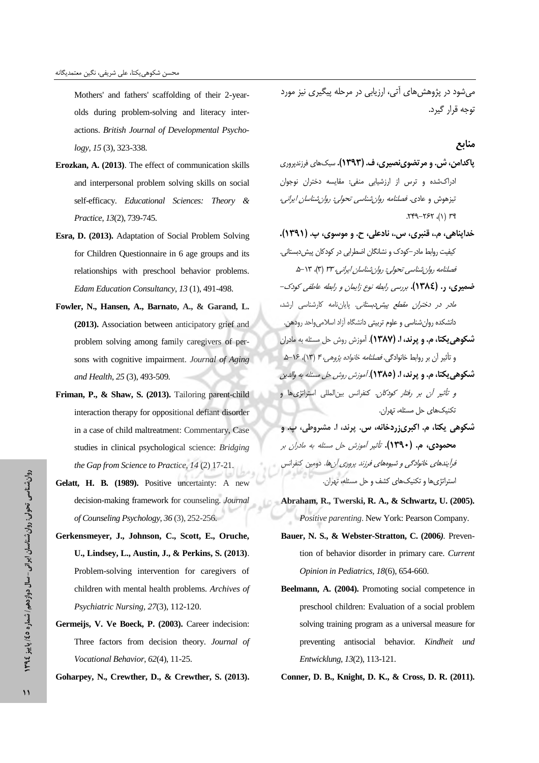Mothers' and fathers' scaffolding of their 2-yearolds during problem-solving and literacy interactions. *British Journal of Developmental Psychology, 15* (3), 323-338.

- **Erozkan, A. (2013)**. The effect of communication skills and interpersonal problem solving skills on social self-efficacy. *Educational Sciences: Theory & Practice*, *13*(2), 739-745.
- **Esra, D. (2013).** Adaptation of Social Problem Solving for Children Questionnaire in 6 age groups and its relationships with preschool behavior problems. *Edam Education Consultancy*, *13* (1), 491-498.
- **Fowler, N., Hansen, A., Barnato, A., & Garand, L. (2013).** Association between anticipatory grief and problem solving among family caregivers of persons with cognitive impairment. *Journal of Aging and Health*, *25* (3), 493-509*.*
- **Friman, P., & Shaw, S. (2013).** Tailoring parent-child interaction therapy for oppositional defiant disorder in a case of child maltreatment: Commentary, Case studies in clinical psychological science: *Bridging the Gap from Science to Practice*, *14* (2) 17-21.
- **Gelatt, H. B. (1989).** Positive uncertainty: A new decision-making framework for counseling. *Journal of Counseling Psychology*, *36* (3), 252-256.
- **Gerkensmeyer, J., Johnson, C., Scott, E., Oruche, U., Lindsey, L., Austin, J., & Perkins, S. (2013)**. Problem-solving intervention for caregivers of children with mental health problems*. Archives of Psychiatric Nursing, 27*(3), 112-120.
- **Germeijs, V. Ve Boeck, P. (2003).** Career indecision: Three factors from decision theory. *Journal of Vocational Behavior*, *62*(4), 11-25.
- **Goharpey, N., Crewther, D., & Crewther, S. (2013).**

م شود در یژوهش های آتی، ارزیابی در مرحله پیگیری نیز مورد توجه قرار گیرد.

#### منابع

- پاکدامن، ش. و مرتضوینصیری، ف. (۱۳۹۳). سبکهای فرزندپروری ادراکشده و ترس از ارزشیابی منفی: مقایسه دختران نوجوان تیزهوش و عادی. *فصلنامه روان شناسی تحولی: روان شناسان ایرانی،*  $\mathcal{H}^{\varphi}(-\mathcal{H}^{\varphi}(\lambda))$  ra
- خدايناهي، م.، قنبري، س.، نادعلي، ح. و موسوي، پ. (١٣٩١). کیفیت روابط مادر –کودک و نشانگان اضطرابی در کودکان پیش دبستانی. فصلنامه روان شناسی تحولی: روان شناسان ایرانی، ۳۳ (۳)، ۵-۱۳.
- ضمیری، د. (١٣٨٤). بررسی رابطه نوع زایمان و رابطه عاطفی کودک-.<br>*مادر در دختران مقطع پیش دبستانی.* پایان نامه کارشناسی ارشد، دانشکده روان شناسی و علوم تربیتی دانشگاه آزاد اسلامیواحد رودهن. شکوهی یکتا، م. و پرند، ا. (۱۳۸۷). آموزش روش حل مسئله به مادران و تأثير آن بر روابط خانوادگي. *فصلنامه خانواده پژوهي، ۴* (۱۳)، ۱۶−۵ شكوهي يكتا، م. و يرند، ا. (١٣٨٥). آموزش روش حل مسئله به والدين و *تأثير أن بر رفتار كودكان*. كنفرانس بين المللي استراتژي ها و تكنيكهاى حل مسئله، تهران.
- شکوهی یکتا، م. اکبریزردخانه، س. پرند، ا. مشروطی، پ. و هحمودی، م. (۱۳۹۰). تأثیر آموزش حل مسئله به مادران بر فرايندهاي خانوادگي و شيوههاي فرزند پروري آنها. دومين كنفرانس استراتژیها و تکنیکهای کشف و حل مسئله، تهران.
- **Abraham, R., Twerski, R. A., & Schwartz, U. (2005).**  *Positive parenting*. New York: Pearson Company.
- **Bauer, N. S., & Webster-Stratton, C. (2006***).* Prevention of behavior disorder in primary care. *Current Opinion in Pediatrics, 18*(6), 654-660.
- **Beelmann, A. (2004).** Promoting social competence in preschool children: Evaluation of a social problem solving training program as a universal measure for preventing antisocial behavior*. Kindheit und Entwicklung*, *13*(2), 113-121.

**Conner, D. B., Knight, D. K., & Cross, D. R. (2011).**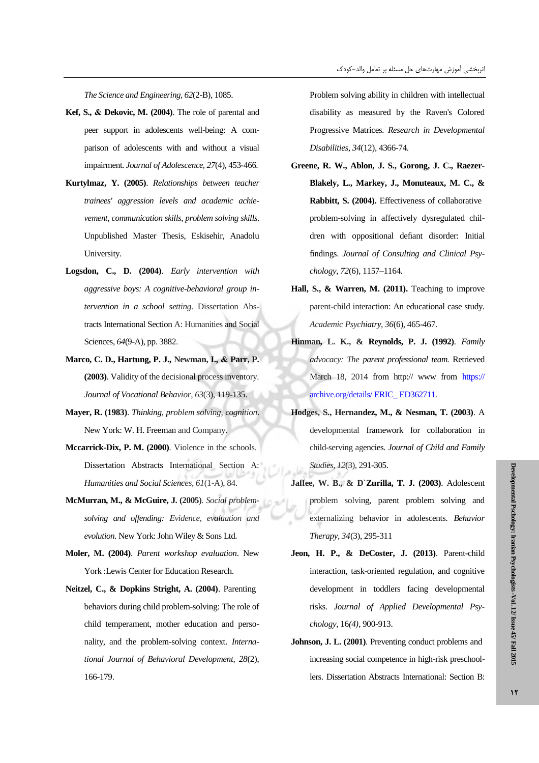*The Science and Engineering, 62*(2-B), 1085.

- Kef, S., & Dekovic, M. (2004). The role of parental and peer support in adolescents well-being: A comparison of adolescents with and without a visual impairment. *Journal of Adolescence*, 27(4), 453-466.
- **Kurtylmaz, Y. (2005)**. *Relationships between teacher trainees' aggression levels and academic achievement, communication skills, problem solving skills*. Unpublished Master Thesis, Eskisehir, Anadolu University.
- **Logsdon, C., D. (2004)**. *Early intervention with aggressive boys: A cognitive-behavioral group intervention in a school setting*. Dissertation Abstracts International Section A: Humanities and Social Sciences, *64*(9-A), pp. 3882.
- Marco, C. D., Hartung, P. J., Newman, I., & Parr, P. **(2003)**. Validity of the decisional process inventory. *Journal of Vocational Behavior, 63*(3), 119-135.
- **Mayer, R. (1983)**. *Thinking, problem solving, cognition*. New York: W. H. Freeman and Company.
- **Mccarrick-Dix, P. M. (2000)**. Violence in the schools. Dissertation Abstracts International Section A: *Humanities and Social Sciences, 61*(1-A), 84.
- **McMurran, M., & McGuire, J. (2005)**. *Social problemsolving and offending: Evidence, evaluation and evolution.* New York: John Wiley & Sons Ltd.
- **Moler, M. (2004)**. *Parent workshop evaluation*. New York :Lewis Center for Education Research.
- **Neitzel, C., & Dopkins Stright, A. (2004)**. Parenting behaviors during child problem-solving: The role of child temperament, mother education and personality, and the problem-solving context. *International Journal of Behavioral Development, 28*(2), 166-179.

Problem solving ability in children with intellectual disability as measured by the Raven's Colored Progressive Matrices*. Research in Developmental Disabilities, 34*(12), 4366-74.

- **Greene, R. W., Ablon, J. S., Gorong, J. C., Raezer-Blakely, L., Markey, J., Monuteaux, M. C., & Rabbitt, S. (2004).** Effectiveness of collaborative problem-solving in affectively dysregulated children with oppositional defiant disorder: Initial findings. *Journal of Consulting and Clinical Psychology*, *72*(6), 1157–1164.
- **Hall, S., & Warren, M. (2011).** Teaching to improve parent-child interaction: An educational case study. *Academic Psychiatry, 36*(6), 465-467.
- **Hinman, L. K., & Reynolds, P. J. (1992)**. *Family advocacy: The parent professional team.* Retrieved March 18, 2014 from http:// www from https:// archive.org/details/ ERIC\_ ED362711.
- **Hodges, S., Hernandez, M., & Nesman, T. (2003)**. A developmental framework for collaboration in child-serving agencies. *Journal of Child and Family Studies, 12*(3), 291-305.
- **Jaffee, W. B., & D`Zurilla, T. J. (2003)**. Adolescent problem solving, parent problem solving and externalizing behavior in adolescents*. Behavior Therapy, 34*(3), 295-311
- **Jeon, H. P., & DeCoster, J. (2013)**. Parent-child interaction, task-oriented regulation, and cognitive development in toddlers facing developmental risks. *Journal of Applied Developmental Psychology,* 16*(4)*, 900-913.
- **Johnson, J. L. (2001)**. Preventing conduct problems and increasing social competence in high-risk preschoollers. Dissertation Abstracts International: Section B: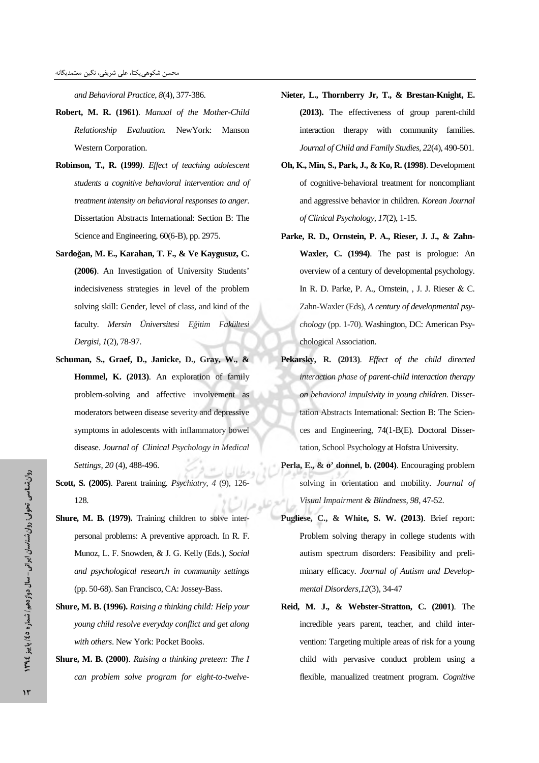*and Behavioral Practice, 8*(4), 377-386.

- **Robert, M. R. (1961)**. *Manual of the Mother-Child Relationship Evaluation.* NewYork: Manson Western Corporation.
- **Robinson, T., R. (1999***). Effect of teaching adolescent students a cognitive behavioral intervention and of treatment intensity on behavioral responses to anger*. Dissertation Abstracts International: Section B: The Science and Engineering, 60(6-B), pp. 2975.
- **Sardoan, M. E., Karahan, T. F., & Ve Kaygusuz, C. (2006)**. An Investigation of University Students' indecisiveness strategies in level of the problem solving skill: Gender, level of class, and kind of the faculty. *Mersin Üniversitesi Eitim Fakültesi Dergisi*, *1*(2), 78-97.
- **Schuman, S., Graef, D., Janicke, D., Gray, W., & Hommel, K. (2013)**. An exploration of family problem-solving and affective involvement as moderators between disease severity and depressive symptoms in adolescents with inflammatory bowel disease *Journal of Clinical Psychology in Medical Settings, 20* (4), 488-496.
- **Scott, S. (2005)**. Parent training*. Psychiatry, 4* (9), 126- 128.
- Shure, M. B. (1979). Training children to solve interpersonal problems: A preventive approach. In R. F. Munoz, L. F. Snowden, & J. G. Kelly (Eds.), *Social and psychological research in community settings* (pp. 50-68). San Francisco, CA: Jossey-Bass.
- **Shure, M. B. (1996).** *Raising a thinking child: Help your young child resolve everyday conflict and get along with others*. New York: Pocket Books.
- **Shure, M. B. (2000)**. *Raising a thinking preteen: The I can problem solve program for eight-to-twelve-*
- **Nieter, L., Thornberry Jr, T., & Brestan-Knight, E. (2013).** The effectiveness of group parent-child interaction therapy with community families. *Journal of Child and Family Studies, 22*(4), 490-501.
- **Oh, K., Min, S., Park, J., & Ko, R. (1998)**. Development of cognitive-behavioral treatment for noncompliant and aggressive behavior in children. *Korean Journal of Clinical Psychology, 17*(2), 1-15.
- **Parke, R. D., Ornstein, P. A., Rieser, J. J., & Zahn-Waxler, C. (1994)**. The past is prologue: An overview of a century of developmental psychology. In R. D. Parke, P. A., Ornstein, , J. J. Rieser & C. Zahn-Waxler (Eds), *A century of developmental psychology* (pp. 1-70). Washington, DC: American Psychological Association.
- **Pekarsky, R. (2013)**. *Effect of the child directed interaction phase of parent-child interaction therapy on behavioral impulsivity in young children.* Dissertation Abstracts International: Section B: The Sciences and Engineering, 74(1-B(E). Doctoral Dissertation, School Psychology at Hofstra University.
- **Perla, E., & o' donnel, b. (2004)**. Encouraging problem solving in orientation and mobility. *Journal of Visual Impairment & Blindness, 98*, 47-52.
- **Pugliese, C., & White, S. W. (2013)**. Brief report: Problem solving therapy in college students with autism spectrum disorders: Feasibility and preliminary efficacy. *Journal of Autism and Developmental Disorders,12*(3), 34-47
- **Reid, M. J., & Webster-Stratton, C. (2001)**. The incredible years parent, teacher, and child intervention: Targeting multiple areas of risk for a young child with pervasive conduct problem using a flexible, manualized treatment program. *Cognitive*

- سال دوازدهم/ نُسماره ٤٥/ پاییز ١٣٩٤

دوان

روان شناسي تحولي شناسي تحولي: روان

روان شناسان ایرانی شناسا